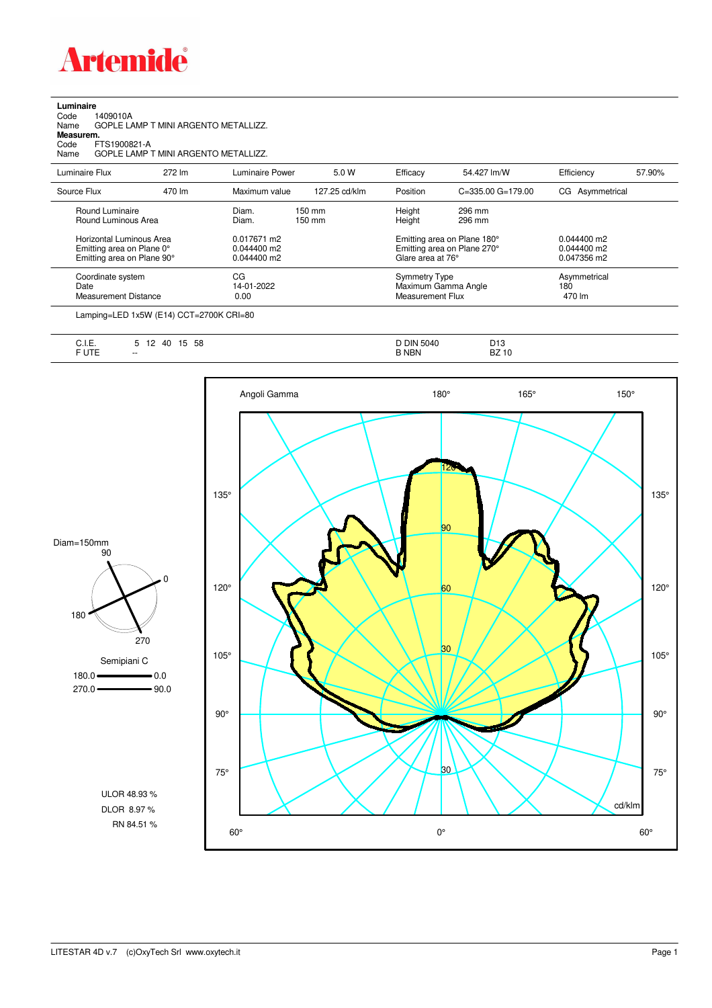

| Luminaire |  |  |
|-----------|--|--|
|           |  |  |

Code 1409010A Name GOPLE LAMP T MINI ARGENTO METALLIZZ.

**Measurem.**

Code FTS1900821-A Name GOPLE LAMP T MINI ARGENTO METALLIZZ.

| Luminaire Flux              | 272 lm | Luminaire Power | 5.0 W            | Efficacy                | 54.427 lm/W                 | Efficiency      | 57.90% |
|-----------------------------|--------|-----------------|------------------|-------------------------|-----------------------------|-----------------|--------|
| Source Flux                 | 470 lm | Maximum value   | 127.25 cd/klm    | Position                | $C = 335.00$ $G = 179.00$   | CG Asymmetrical |        |
| Round Luminaire             |        | Diam.           | $150 \text{ mm}$ | Height                  | 296 mm                      |                 |        |
| Round Luminous Area         |        | Diam.           | 150 mm           | Height                  | 296 mm                      |                 |        |
| Horizontal Luminous Area    |        | 0.017671 m2     |                  |                         | Emitting area on Plane 180° | $0.044400$ m2   |        |
| Emitting area on Plane 0°   |        | 0.044400 m2     |                  |                         | Emitting area on Plane 270° | $0.044400$ m2   |        |
| Emitting area on Plane 90°  |        | 0.044400 m2     |                  | Glare area at 76°       |                             | 0.047356 m2     |        |
| Coordinate system           |        | СG              |                  | <b>Symmetry Type</b>    |                             | Asymmetrical    |        |
| Date                        |        | 14-01-2022      |                  |                         | Maximum Gamma Angle         | 180             |        |
| <b>Measurement Distance</b> |        | 0.00            |                  | <b>Measurement Flux</b> |                             | 470 lm          |        |

Lamping=LED 1x5W (E14) CCT=2700K CRI=80